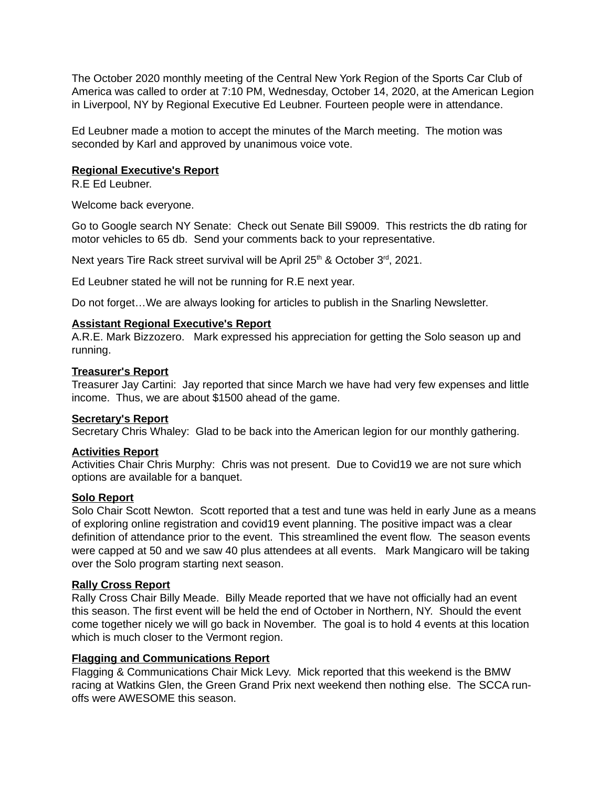The October 2020 monthly meeting of the Central New York Region of the Sports Car Club of America was called to order at 7:10 PM, Wednesday, October 14, 2020, at the American Legion in Liverpool, NY by Regional Executive Ed Leubner. Fourteen people were in attendance.

Ed Leubner made a motion to accept the minutes of the March meeting. The motion was seconded by Karl and approved by unanimous voice vote.

## **Regional Executive's Report**

R.E Ed Leubner.

Welcome back everyone.

Go to Google search NY Senate: Check out Senate Bill S9009. This restricts the db rating for motor vehicles to 65 db. Send your comments back to your representative.

Next years Tire Rack street survival will be April  $25<sup>th</sup>$  & October  $3<sup>rd</sup>$ , 2021.

Ed Leubner stated he will not be running for R.E next year.

Do not forget…We are always looking for articles to publish in the Snarling Newsletter.

## **Assistant Regional Executive's Report**

A.R.E. Mark Bizzozero. Mark expressed his appreciation for getting the Solo season up and running.

### **Treasurer's Report**

Treasurer Jay Cartini: Jay reported that since March we have had very few expenses and little income. Thus, we are about \$1500 ahead of the game.

### **Secretary's Report**

Secretary Chris Whaley: Glad to be back into the American legion for our monthly gathering.

### **Activities Report**

Activities Chair Chris Murphy: Chris was not present. Due to Covid19 we are not sure which options are available for a banquet.

# **Solo Report**

Solo Chair Scott Newton. Scott reported that a test and tune was held in early June as a means of exploring online registration and covid19 event planning. The positive impact was a clear definition of attendance prior to the event. This streamlined the event flow. The season events were capped at 50 and we saw 40 plus attendees at all events. Mark Mangicaro will be taking over the Solo program starting next season.

### **Rally Cross Report**

Rally Cross Chair Billy Meade. Billy Meade reported that we have not officially had an event this season. The first event will be held the end of October in Northern, NY. Should the event come together nicely we will go back in November. The goal is to hold 4 events at this location which is much closer to the Vermont region.

## **Flagging and Communications Report**

Flagging & Communications Chair Mick Levy. Mick reported that this weekend is the BMW racing at Watkins Glen, the Green Grand Prix next weekend then nothing else. The SCCA runoffs were AWESOME this season.